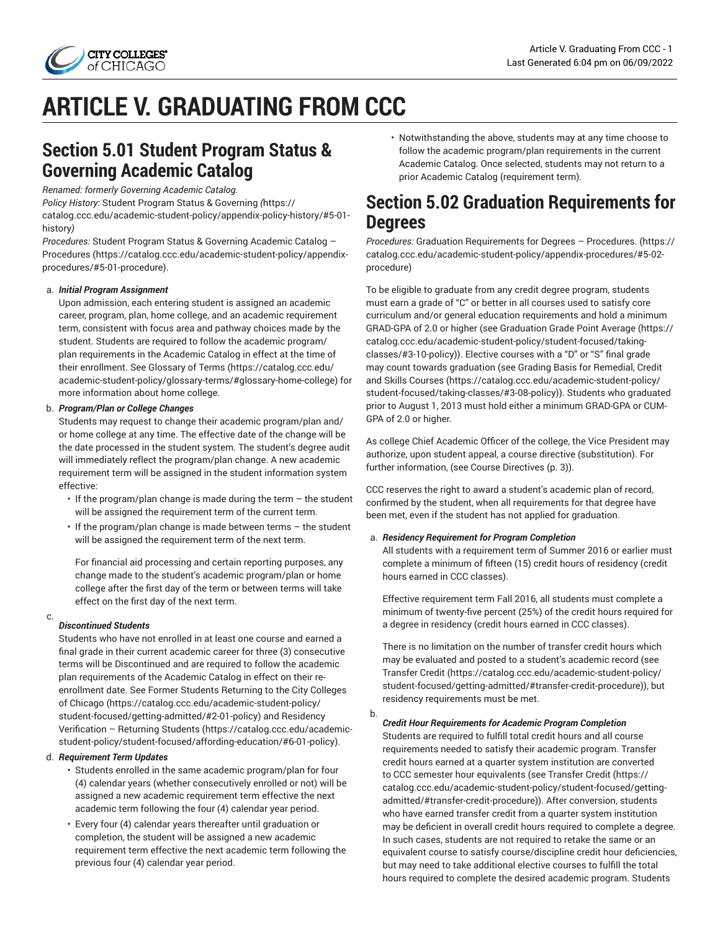

# **ARTICLE V. GRADUATING FROM CCC**

### **Section 5.01 Student Program Status & Governing Academic Catalog**

*Renamed: formerly Governing Academic Catalog.*

*Policy History:* Student Program Status & [Governing](https://catalog.ccc.edu/academic-student-policy/appendix-policy-history/#5-01-history) *(*[https://](https://catalog.ccc.edu/academic-student-policy/appendix-policy-history/#5-01-history) [catalog.ccc.edu/academic-student-policy/appendix-policy-history/#5-01](https://catalog.ccc.edu/academic-student-policy/appendix-policy-history/#5-01-history) [history](https://catalog.ccc.edu/academic-student-policy/appendix-policy-history/#5-01-history)*)*

*Procedures:* Student Program Status & [Governing](https://catalog.ccc.edu/academic-student-policy/appendix-procedures/#5-01-procedure) Academic Catalog – [Procedures](https://catalog.ccc.edu/academic-student-policy/appendix-procedures/#5-01-procedure) ([https://catalog.ccc.edu/academic-student-policy/appendix](https://catalog.ccc.edu/academic-student-policy/appendix-procedures/#5-01-procedure)[procedures/#5-01-procedure\)](https://catalog.ccc.edu/academic-student-policy/appendix-procedures/#5-01-procedure).

#### a. *Initial Program Assignment*

Upon admission, each entering student is assigned an academic career, program, plan, home college, and an academic requirement term, consistent with focus area and pathway choices made by the student. Students are required to follow the academic program/ plan requirements in the Academic Catalog in effect at the time of their enrollment. See [Glossary](https://catalog.ccc.edu/academic-student-policy/glossary-terms/#glossary-home-college) of Terms [\(https://catalog.ccc.edu/](https://catalog.ccc.edu/academic-student-policy/glossary-terms/#glossary-home-college) [academic-student-policy/glossary-terms/#glossary-home-college\)](https://catalog.ccc.edu/academic-student-policy/glossary-terms/#glossary-home-college) for more information about home college.

#### b. *Program/Plan or College Changes*

Students may request to change their academic program/plan and/ or home college at any time. The effective date of the change will be the date processed in the student system. The student's degree audit will immediately reflect the program/plan change. A new academic requirement term will be assigned in the student information system effective:

- $\cdot$  If the program/plan change is made during the term  $-$  the student will be assigned the requirement term of the current term.
- If the program/plan change is made between terms the student will be assigned the requirement term of the next term.

For financial aid processing and certain reporting purposes, any change made to the student's academic program/plan or home college after the first day of the term or between terms will take effect on the first day of the next term.

#### c.

#### *Discontinued Students*

Students who have not enrolled in at least one course and earned a final grade in their current academic career for three (3) consecutive terms will be Discontinued and are required to follow the academic plan requirements of the Academic Catalog in effect on their reenrollment date. See Former Students [Returning](https://catalog.ccc.edu/academic-student-policy/student-focused/getting-admitted/#2-01-policy) to the City Colleges [of Chicago \(https://catalog.ccc.edu/academic-student-policy/](https://catalog.ccc.edu/academic-student-policy/student-focused/getting-admitted/#2-01-policy) [student-focused/getting-admitted/#2-01-policy](https://catalog.ccc.edu/academic-student-policy/student-focused/getting-admitted/#2-01-policy)) and [Residency](https://catalog.ccc.edu/academic-student-policy/student-focused/affording-education/#6-01-policy) [Verification](https://catalog.ccc.edu/academic-student-policy/student-focused/affording-education/#6-01-policy) – Returning Students ([https://catalog.ccc.edu/academic](https://catalog.ccc.edu/academic-student-policy/student-focused/affording-education/#6-01-policy)[student-policy/student-focused/affording-education/#6-01-policy\)](https://catalog.ccc.edu/academic-student-policy/student-focused/affording-education/#6-01-policy).

#### d. *Requirement Term Updates*

- Students enrolled in the same academic program/plan for four (4) calendar years (whether consecutively enrolled or not) will be assigned a new academic requirement term effective the next academic term following the four (4) calendar year period.
- Every four (4) calendar years thereafter until graduation or completion, the student will be assigned a new academic requirement term effective the next academic term following the previous four (4) calendar year period.

• Notwithstanding the above, students may at any time choose to follow the academic program/plan requirements in the current Academic Catalog. Once selected, students may not return to a prior Academic Catalog (requirement term).

### <span id="page-0-0"></span>**Section 5.02 Graduation Requirements for Degrees**

*Procedures:* Graduation [Requirements](https://catalog.ccc.edu/academic-student-policy/appendix-procedures/#5-02-procedure) for Degrees – Procedures. ([https://](https://catalog.ccc.edu/academic-student-policy/appendix-procedures/#5-02-procedure) [catalog.ccc.edu/academic-student-policy/appendix-procedures/#5-02](https://catalog.ccc.edu/academic-student-policy/appendix-procedures/#5-02-procedure) [procedure\)](https://catalog.ccc.edu/academic-student-policy/appendix-procedures/#5-02-procedure)

To be eligible to graduate from any credit degree program, students must earn a grade of "C" or better in all courses used to satisfy core curriculum and/or general education requirements and hold a minimum GRAD-GPA of 2.0 or higher (see [Graduation](https://catalog.ccc.edu/academic-student-policy/student-focused/taking-classes/#3-10-policy) Grade Point Average [\(https://](https://catalog.ccc.edu/academic-student-policy/student-focused/taking-classes/#3-10-policy) [catalog.ccc.edu/academic-student-policy/student-focused/taking](https://catalog.ccc.edu/academic-student-policy/student-focused/taking-classes/#3-10-policy)[classes/#3-10-policy](https://catalog.ccc.edu/academic-student-policy/student-focused/taking-classes/#3-10-policy))). Elective courses with a "D" or "S" final grade may count towards graduation (see Grading Basis for [Remedial,](https://catalog.ccc.edu/academic-student-policy/student-focused/taking-classes/#3-08-policy) Credit [and Skills Courses \(https://catalog.ccc.edu/academic-student-policy/](https://catalog.ccc.edu/academic-student-policy/student-focused/taking-classes/#3-08-policy) [student-focused/taking-classes/#3-08-policy\)](https://catalog.ccc.edu/academic-student-policy/student-focused/taking-classes/#3-08-policy)). Students who graduated prior to August 1, 2013 must hold either a minimum GRAD-GPA or CUM-GPA of 2.0 or higher.

As college Chief Academic Officer of the college, the Vice President may authorize, upon student appeal, a course directive (substitution). For further information, (see Course [Directives](#page-2-0) ([p. 3](#page-2-0))).

CCC reserves the right to award a student's academic plan of record, confirmed by the student, when all requirements for that degree have been met, even if the student has not applied for graduation.

#### a. *Residency Requirement for Program Completion*

All students with a requirement term of Summer 2016 or earlier must complete a minimum of fifteen (15) credit hours of residency (credit hours earned in CCC classes).

Effective requirement term Fall 2016, all students must complete a minimum of twenty-five percent (25%) of the credit hours required for a degree in residency (credit hours earned in CCC classes).

There is no limitation on the number of transfer credit hours which may be evaluated and posted to a student's academic record (see [Transfer](https://catalog.ccc.edu/academic-student-policy/student-focused/getting-admitted/#transfer-credit-procedure) Credit [\(https://catalog.ccc.edu/academic-student-policy/](https://catalog.ccc.edu/academic-student-policy/student-focused/getting-admitted/#transfer-credit-procedure) [student-focused/getting-admitted/#transfer-credit-procedure\)](https://catalog.ccc.edu/academic-student-policy/student-focused/getting-admitted/#transfer-credit-procedure)), but residency requirements must be met.

b. *Credit Hour Requirements for Academic Program Completion*

Students are required to fulfill total credit hours and all course requirements needed to satisfy their academic program. Transfer credit hours earned at a quarter system institution are converted to CCC semester hour equivalents (see [Transfer](https://catalog.ccc.edu/academic-student-policy/student-focused/getting-admitted/#transfer-credit-procedure) Credit [\(https://](https://catalog.ccc.edu/academic-student-policy/student-focused/getting-admitted/#transfer-credit-procedure) [catalog.ccc.edu/academic-student-policy/student-focused/getting](https://catalog.ccc.edu/academic-student-policy/student-focused/getting-admitted/#transfer-credit-procedure)[admitted/#transfer-credit-procedure](https://catalog.ccc.edu/academic-student-policy/student-focused/getting-admitted/#transfer-credit-procedure))). After conversion, students who have earned transfer credit from a quarter system institution may be deficient in overall credit hours required to complete a degree. In such cases, students are not required to retake the same or an equivalent course to satisfy course/discipline credit hour deficiencies, but may need to take additional elective courses to fulfill the total hours required to complete the desired academic program. Students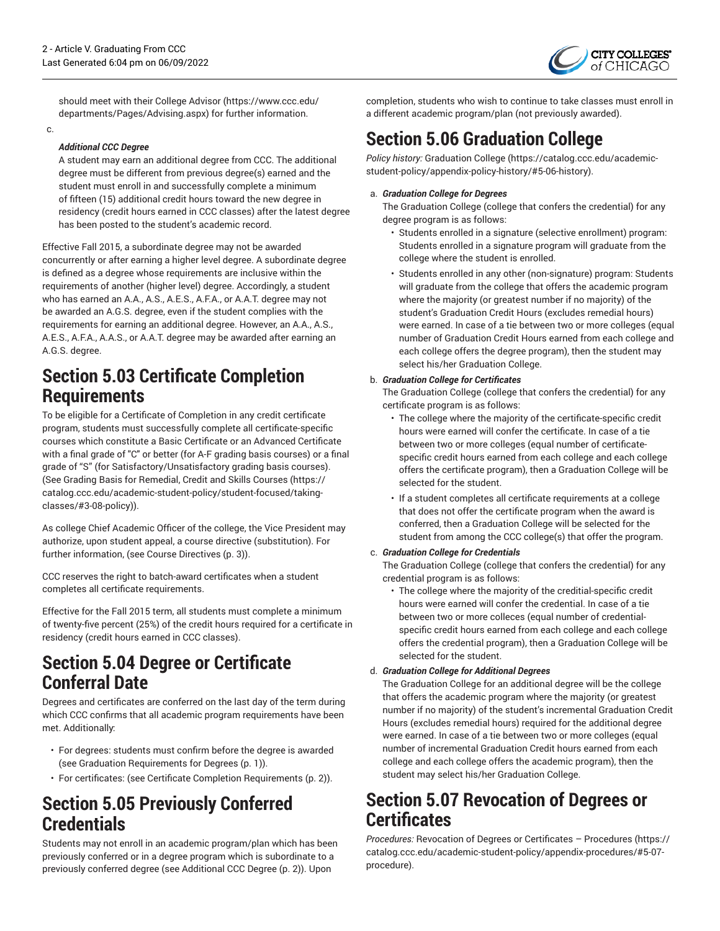

should meet with their [College Advisor](https://www.ccc.edu/departments/Pages/Advising.aspx) ([https://www.ccc.edu/](https://www.ccc.edu/departments/Pages/Advising.aspx) [departments/Pages/Advising.aspx](https://www.ccc.edu/departments/Pages/Advising.aspx)) for further information.

c.

### <span id="page-1-1"></span>*Additional CCC Degree*

A student may earn an additional degree from CCC. The additional degree must be different from previous degree(s) earned and the student must enroll in and successfully complete a minimum of fifteen (15) additional credit hours toward the new degree in residency (credit hours earned in CCC classes) after the latest degree has been posted to the student's academic record.

Effective Fall 2015, a subordinate degree may not be awarded concurrently or after earning a higher level degree. A subordinate degree is defined as a degree whose requirements are inclusive within the requirements of another (higher level) degree. Accordingly, a student who has earned an A.A., A.S., A.E.S., A.F.A., or A.A.T. degree may not be awarded an A.G.S. degree, even if the student complies with the requirements for earning an additional degree. However, an A.A., A.S., A.E.S., A.F.A., A.A.S., or A.A.T. degree may be awarded after earning an A.G.S. degree.

### <span id="page-1-0"></span>**Section 5.03 Certificate Completion Requirements**

To be eligible for a Certificate of Completion in any credit certificate program, students must successfully complete all certificate-specific courses which constitute a Basic Certificate or an Advanced Certificate with a final grade of "C" or better (for A-F grading basis courses) or a final grade of "S" (for Satisfactory/Unsatisfactory grading basis courses). (See Grading Basis for [Remedial,](https://catalog.ccc.edu/academic-student-policy/student-focused/taking-classes/#3-08-policy) Credit and Skills Courses [\(https://](https://catalog.ccc.edu/academic-student-policy/student-focused/taking-classes/#3-08-policy) [catalog.ccc.edu/academic-student-policy/student-focused/taking](https://catalog.ccc.edu/academic-student-policy/student-focused/taking-classes/#3-08-policy)[classes/#3-08-policy\)](https://catalog.ccc.edu/academic-student-policy/student-focused/taking-classes/#3-08-policy)).

As college Chief Academic Officer of the college, the Vice President may authorize, upon student appeal, a course directive (substitution). For further information, (see Course [Directives \(p. 3\)](#page-2-0)).

CCC reserves the right to batch-award certificates when a student completes all certificate requirements.

Effective for the Fall 2015 term, all students must complete a minimum of twenty-five percent (25%) of the credit hours required for a certificate in residency (credit hours earned in CCC classes).

### **Section 5.04 Degree or Certificate Conferral Date**

Degrees and certificates are conferred on the last day of the term during which CCC confirms that all academic program requirements have been met. Additionally:

- For degrees: students must confirm before the degree is awarded (see Graduation [Requirements](#page-0-0) for Degrees [\(p. 1](#page-0-0))).
- For certificates: (see Certificate Completion [Requirements \(p. 2](#page-1-0))).

### **Section 5.05 Previously Conferred Credentials**

Students may not enroll in an academic program/plan which has been previously conferred or in a degree program which is subordinate to a previously conferred degree (see [Additional](#page-1-1) CCC Degree [\(p. 2](#page-1-1))). Upon

completion, students who wish to continue to take classes must enroll in a different academic program/plan (not previously awarded).

### <span id="page-1-2"></span>**Section 5.06 Graduation College**

*Policy history:* [Graduation College](https://catalog.ccc.edu/academic-student-policy/appendix-policy-history/#5-06-history) ([https://catalog.ccc.edu/academic](https://catalog.ccc.edu/academic-student-policy/appendix-policy-history/#5-06-history)[student-policy/appendix-policy-history/#5-06-history](https://catalog.ccc.edu/academic-student-policy/appendix-policy-history/#5-06-history)).

#### a. *Graduation College for Degrees*

The Graduation College (college that confers the credential) for any degree program is as follows:

- Students enrolled in a signature (selective enrollment) program: Students enrolled in a signature program will graduate from the college where the student is enrolled.
- Students enrolled in any other (non-signature) program: Students will graduate from the college that offers the academic program where the majority (or greatest number if no majority) of the student's Graduation Credit Hours (excludes remedial hours) were earned. In case of a tie between two or more colleges (equal number of Graduation Credit Hours earned from each college and each college offers the degree program), then the student may select his/her Graduation College.

### b. *Graduation College for Certificates*

The Graduation College (college that confers the credential) for any certificate program is as follows:

- The college where the majority of the certificate-specific credit hours were earned will confer the certificate. In case of a tie between two or more colleges (equal number of certificatespecific credit hours earned from each college and each college offers the certificate program), then a Graduation College will be selected for the student.
- If a student completes all certificate requirements at a college that does not offer the certificate program when the award is conferred, then a Graduation College will be selected for the student from among the CCC college(s) that offer the program.

#### c. *Graduation College for Credentials*

The Graduation College (college that confers the credential) for any credential program is as follows:

• The college where the majority of the creditial-specific credit hours were earned will confer the credential. In case of a tie between two or more colleces (equal number of credentialspecific credit hours earned from each college and each college offers the credential program), then a Graduation College will be selected for the student.

#### d. *Graduation College for Additional Degrees*

The Graduation College for an additional degree will be the college that offers the academic program where the majority (or greatest number if no majority) of the student's incremental Graduation Credit Hours (excludes remedial hours) required for the additional degree were earned. In case of a tie between two or more colleges (equal number of incremental Graduation Credit hours earned from each college and each college offers the academic program), then the student may select his/her Graduation College.

### **Section 5.07 Revocation of Degrees or Certificates**

*Procedures:* Revocation of Degrees or [Certificates](https://catalog.ccc.edu/academic-student-policy/appendix-procedures/#5-07-procedure) – Procedures ([https://](https://catalog.ccc.edu/academic-student-policy/appendix-procedures/#5-07-procedure) [catalog.ccc.edu/academic-student-policy/appendix-procedures/#5-07](https://catalog.ccc.edu/academic-student-policy/appendix-procedures/#5-07-procedure) [procedure\)](https://catalog.ccc.edu/academic-student-policy/appendix-procedures/#5-07-procedure).